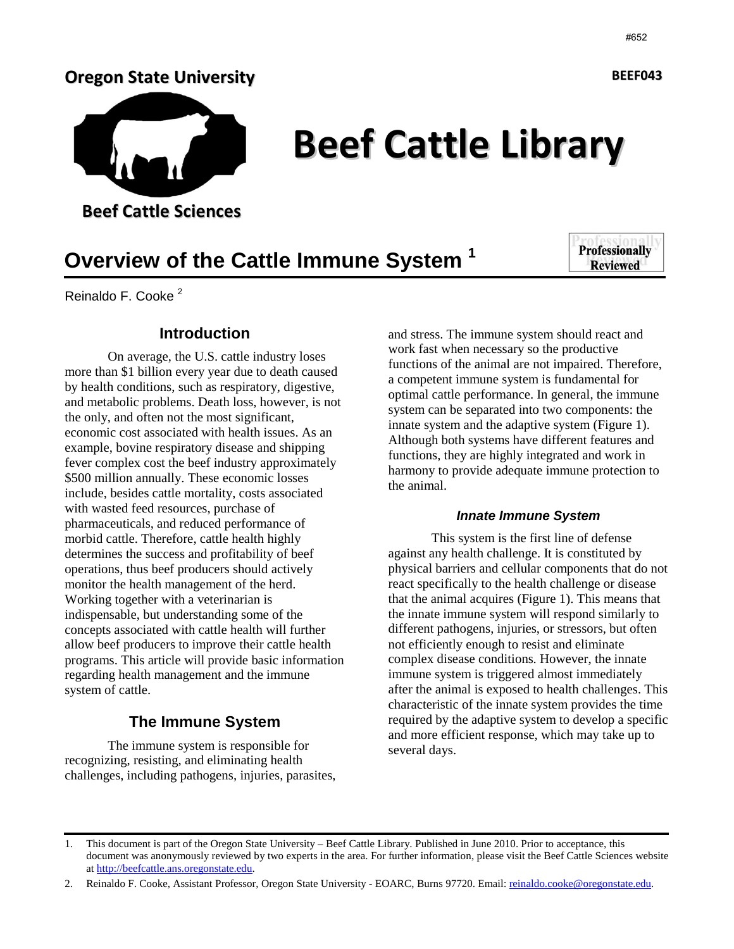# Oregon State University



Beef Cattle Library

Beef Cattle Sciences

**Overview of the Cattle Immune System <sup>1</sup>**

**Professionally Reviewed** 

Reinaldo F. Cooke<sup>2</sup>

#### **Introduction**

On average, the U.S. cattle industry loses more than \$1 billion every year due to death caused by health conditions, such as respiratory, digestive, and metabolic problems. Death loss, however, is not the only, and often not the most significant, economic cost associated with health issues. As an example, bovine respiratory disease and shipping fever complex cost the beef industry approximately \$500 million annually. These economic losses include, besides cattle mortality, costs associated with wasted feed resources, purchase of pharmaceuticals, and reduced performance of morbid cattle. Therefore, cattle health highly determines the success and profitability of beef operations, thus beef producers should actively monitor the health management of the herd. Working together with a veterinarian is indispensable, but understanding some of the concepts associated with cattle health will further allow beef producers to improve their cattle health programs. This article will provide basic information regarding health management and the immune system of cattle.

### **The Immune System**

The immune system is responsible for recognizing, resisting, and eliminating health challenges, including pathogens, injuries, parasites,

and stress. The immune system should react and work fast when necessary so the productive functions of the animal are not impaired. Therefore, a competent immune system is fundamental for optimal cattle performance. In general, the immune system can be separated into two components: the innate system and the adaptive system (Figure 1). Although both systems have different features and functions, they are highly integrated and work in harmony to provide adequate immune protection to the animal.

#### **Innate Immune System**

This system is the first line of defense against any health challenge. It is constituted by physical barriers and cellular components that do not react specifically to the health challenge or disease that the animal acquires (Figure 1). This means that the innate immune system will respond similarly to different pathogens, injuries, or stressors, but often not efficiently enough to resist and eliminate complex disease conditions. However, the innate immune system is triggered almost immediately after the animal is exposed to health challenges. This characteristic of the innate system provides the time required by the adaptive system to develop a specific and more efficient response, which may take up to several days.

BEEF043

<sup>1.</sup> This document is part of the Oregon State University – Beef Cattle Library. Published in June 2010. Prior to acceptance, this document was anonymously reviewed by two experts in the area. For further information, please visit the Beef Cattle Sciences website at http://beefcattle.ans.oregonstate.edu.

<sup>2.</sup> Reinaldo F. Cooke, Assistant Professor, Oregon State University - EOARC, Burns 97720. Email: reinaldo.cooke@oregonstate.edu.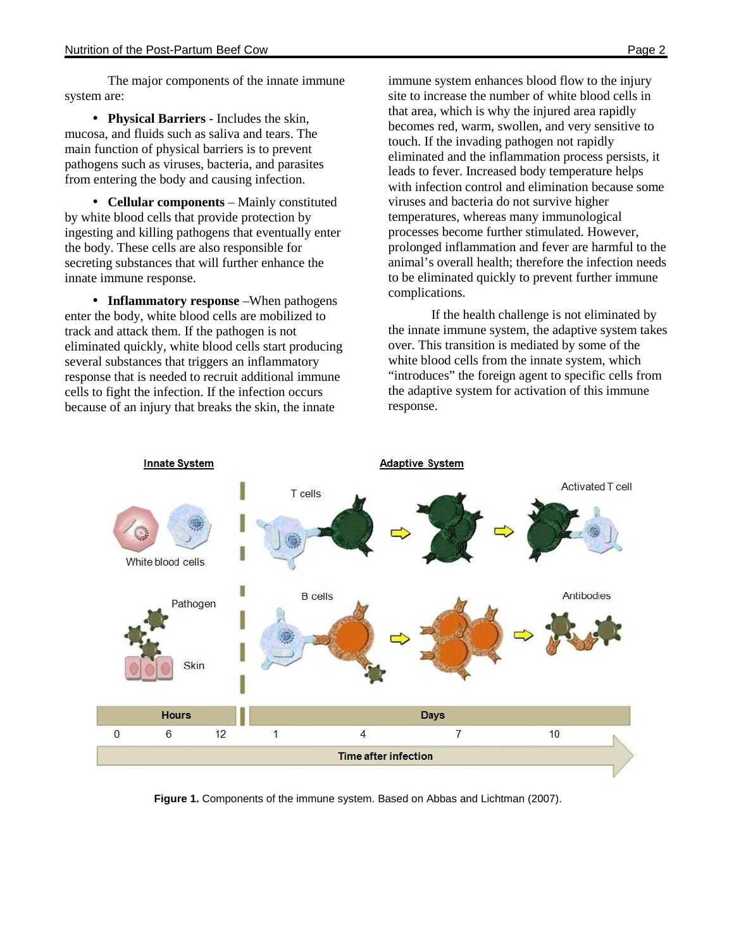The major components of the innate immune system are:

• **Physical Barriers** - Includes the skin, mucosa, and fluids such as saliva and tears. The main function of physical barriers is to prevent pathogens such as viruses, bacteria, and parasites from entering the body and causing infection.

• **Cellular components** – Mainly constituted by white blood cells that provide protection by ingesting and killing pathogens that eventually enter the body. These cells are also responsible for secreting substances that will further enhance the innate immune response.

• **Inflammatory response** – When pathogens enter the body, white blood cells are mobilized to track and attack them. If the pathogen is not eliminated quickly, white blood cells start producing several substances that triggers an inflammatory response that is needed to recruit additional immune cells to fight the infection. If the infection occurs because of an injury that breaks the skin, the innate

immune system enhances blood flow to the injury site to increase the number of white blood cells in that area, which is why the injured area rapidly becomes red, warm, swollen, and very sensitive to touch. If the invading pathogen not rapidly eliminated and the inflammation process persists, it leads to fever. Increased body temperature helps with infection control and elimination because some viruses and bacteria do not survive higher temperatures, whereas many immunological processes become further stimulated. However, prolonged inflammation and fever are harmful to the animal's overall health; therefore the infection needs to be eliminated quickly to prevent further immune complications.

If the health challenge is not eliminated by the innate immune system, the adaptive system takes over. This transition is mediated by some of the white blood cells from the innate system, which "introduces" the foreign agent to specific cells from the adaptive system for activation of this immune response.



**Figure 1.** Components of the immune system. Based on Abbas and Lichtman (2007).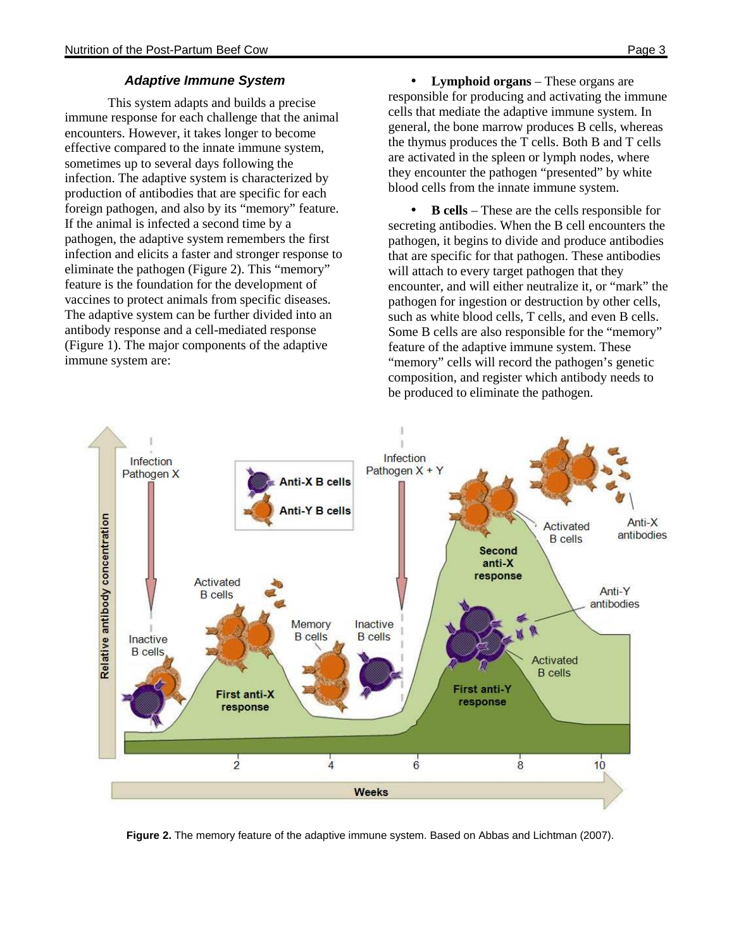#### **Adaptive Immune System**

This system adapts and builds a precise immune response for each challenge that the animal encounters. However, it takes longer to become effective compared to the innate immune system, sometimes up to several days following the infection. The adaptive system is characterized by production of antibodies that are specific for each foreign pathogen, and also by its "memory" feature. If the animal is infected a second time by a pathogen, the adaptive system remembers the first infection and elicits a faster and stronger response to eliminate the pathogen (Figure 2). This "memory" feature is the foundation for the development of vaccines to protect animals from specific diseases. The adaptive system can be further divided into an antibody response and a cell-mediated response (Figure 1). The major components of the adaptive immune system are:

• **Lymphoid organs** – These organs are responsible for producing and activating the immune cells that mediate the adaptive immune system. In general, the bone marrow produces B cells, whereas the thymus produces the T cells. Both B and T cells are activated in the spleen or lymph nodes, where they encounter the pathogen "presented" by white blood cells from the innate immune system.

• **B cells** – These are the cells responsible for secreting antibodies. When the B cell encounters the pathogen, it begins to divide and produce antibodies that are specific for that pathogen. These antibodies will attach to every target pathogen that they encounter, and will either neutralize it, or "mark" the pathogen for ingestion or destruction by other cells, such as white blood cells, T cells, and even B cells. Some B cells are also responsible for the "memory" feature of the adaptive immune system. These "memory" cells will record the pathogen's genetic composition, and register which antibody needs to be produced to eliminate the pathogen.



**Figure 2.** The memory feature of the adaptive immune system. Based on Abbas and Lichtman (2007).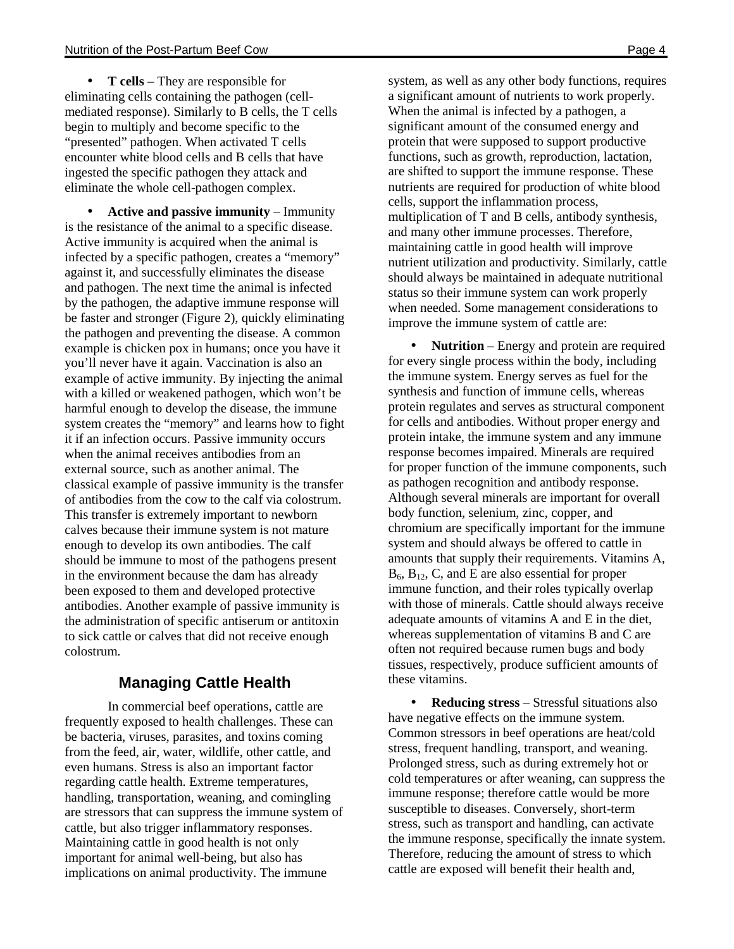• **T cells** – They are responsible for eliminating cells containing the pathogen (cellmediated response). Similarly to B cells, the T cells begin to multiply and become specific to the "presented" pathogen. When activated T cells encounter white blood cells and B cells that have ingested the specific pathogen they attack and eliminate the whole cell-pathogen complex.

• **Active and passive immunity** – Immunity is the resistance of the animal to a specific disease. Active immunity is acquired when the animal is infected by a specific pathogen, creates a "memory" against it, and successfully eliminates the disease and pathogen. The next time the animal is infected by the pathogen, the adaptive immune response will be faster and stronger (Figure 2), quickly eliminating the pathogen and preventing the disease. A common example is chicken pox in humans; once you have it you'll never have it again. Vaccination is also an example of active immunity. By injecting the animal with a killed or weakened pathogen, which won't be harmful enough to develop the disease, the immune system creates the "memory" and learns how to fight it if an infection occurs. Passive immunity occurs when the animal receives antibodies from an external source, such as another animal. The classical example of passive immunity is the transfer of antibodies from the cow to the calf via colostrum. This transfer is extremely important to newborn calves because their immune system is not mature enough to develop its own antibodies. The calf should be immune to most of the pathogens present in the environment because the dam has already been exposed to them and developed protective antibodies. Another example of passive immunity is the administration of specific antiserum or antitoxin to sick cattle or calves that did not receive enough colostrum.

## **Managing Cattle Health**

In commercial beef operations, cattle are frequently exposed to health challenges. These can be bacteria, viruses, parasites, and toxins coming from the feed, air, water, wildlife, other cattle, and even humans. Stress is also an important factor regarding cattle health. Extreme temperatures, handling, transportation, weaning, and comingling are stressors that can suppress the immune system of cattle, but also trigger inflammatory responses. Maintaining cattle in good health is not only important for animal well-being, but also has implications on animal productivity. The immune

system, as well as any other body functions, requires a significant amount of nutrients to work properly. When the animal is infected by a pathogen, a significant amount of the consumed energy and protein that were supposed to support productive functions, such as growth, reproduction, lactation, are shifted to support the immune response. These nutrients are required for production of white blood cells, support the inflammation process, multiplication of T and B cells, antibody synthesis, and many other immune processes. Therefore, maintaining cattle in good health will improve nutrient utilization and productivity. Similarly, cattle should always be maintained in adequate nutritional status so their immune system can work properly when needed. Some management considerations to improve the immune system of cattle are:

• **Nutrition** – Energy and protein are required for every single process within the body, including the immune system. Energy serves as fuel for the synthesis and function of immune cells, whereas protein regulates and serves as structural component for cells and antibodies. Without proper energy and protein intake, the immune system and any immune response becomes impaired. Minerals are required for proper function of the immune components, such as pathogen recognition and antibody response. Although several minerals are important for overall body function, selenium, zinc, copper, and chromium are specifically important for the immune system and should always be offered to cattle in amounts that supply their requirements. Vitamins A,  $B_6$ ,  $B_{12}$ , C, and E are also essential for proper immune function, and their roles typically overlap with those of minerals. Cattle should always receive adequate amounts of vitamins A and E in the diet, whereas supplementation of vitamins B and C are often not required because rumen bugs and body tissues, respectively, produce sufficient amounts of these vitamins.

• **Reducing stress** – Stressful situations also have negative effects on the immune system. Common stressors in beef operations are heat/cold stress, frequent handling, transport, and weaning. Prolonged stress, such as during extremely hot or cold temperatures or after weaning, can suppress the immune response; therefore cattle would be more susceptible to diseases. Conversely, short-term stress, such as transport and handling, can activate the immune response, specifically the innate system. Therefore, reducing the amount of stress to which cattle are exposed will benefit their health and,